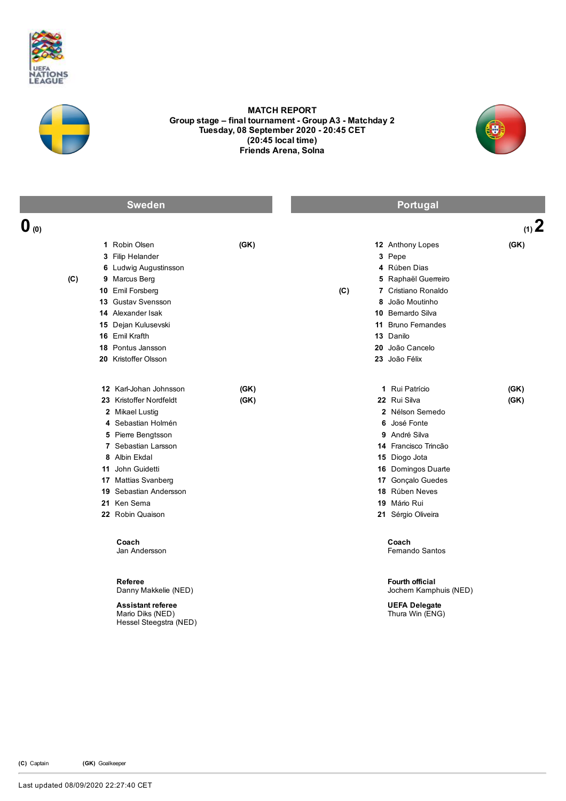



## MATCH REPORT Group stage – final tournament - Group A3 - Matchday 2 Tuesday, 08 September 2020 - 20:45 CET (20:45 local time) Friends Arena, Solna



| <b>Sweden</b>    |                                                                                                                                                                                                                                                                                            |              | Portugal |                                                                                                                                                                                                                                                                  |              |
|------------------|--------------------------------------------------------------------------------------------------------------------------------------------------------------------------------------------------------------------------------------------------------------------------------------------|--------------|----------|------------------------------------------------------------------------------------------------------------------------------------------------------------------------------------------------------------------------------------------------------------------|--------------|
| $\mathbf{0}$ (0) |                                                                                                                                                                                                                                                                                            |              |          |                                                                                                                                                                                                                                                                  | $(1)$ 2      |
| (C)              | 1 Robin Olsen<br>3 Filip Helander<br>6 Ludwig Augustinsson<br>9 Marcus Berg<br>10 Emil Forsberg<br>13 Gustav Svensson<br>14 Alexander Isak<br>15 Dejan Kulusevski<br>16 Emil Krafth<br>18 Pontus Jansson<br>20 Kristoffer Olsson                                                           | (GK)         | (C)      | 12 Anthony Lopes<br>3 Pepe<br>4 Rúben Dias<br>5 Raphaël Guerreiro<br>7 Cristiano Ronaldo<br>8 João Moutinho<br>10 Bemardo Silva<br>11 Bruno Femandes<br>13 Danilo<br>20 João Cancelo<br>23 João Félix                                                            | (GK)         |
|                  | 12 Karl-Johan Johnsson<br>23 Kristoffer Nordfeldt<br>2 Mikael Lustig<br>4 Sebastian Holmén<br>5 Pierre Bengtsson<br>7 Sebastian Larsson<br>8 Albin Ekdal<br>11 John Guidetti<br>17 Mattias Svanberg<br>19 Sebastian Andersson<br>21 Ken Sema<br>22 Robin Quaison<br>Coach<br>Jan Andersson | (GK)<br>(GK) |          | 1 Rui Patrício<br>22 Rui Silva<br>2 Nélson Semedo<br>6 José Fonte<br>9 André Silva<br>14 Francisco Trincão<br>15 Diogo Jota<br>16 Domingos Duarte<br>17 Gonçalo Guedes<br>18 Rúben Neves<br>19 Mário Rui<br>21 Sérgio Oliveira<br>Coach<br><b>Femando Santos</b> | (GK)<br>(GK) |
|                  | Referee<br>Danny Makkelie (NED)<br><b>Assistant referee</b><br>Mario Diks (NED)<br>Hessel Steegstra (NED)                                                                                                                                                                                  |              |          | <b>Fourth official</b><br>Jochem Kamphuis (NED)<br><b>UEFA Delegate</b><br>Thura Win (ENG)                                                                                                                                                                       |              |

(C) Captain (GK) Goalkeeper